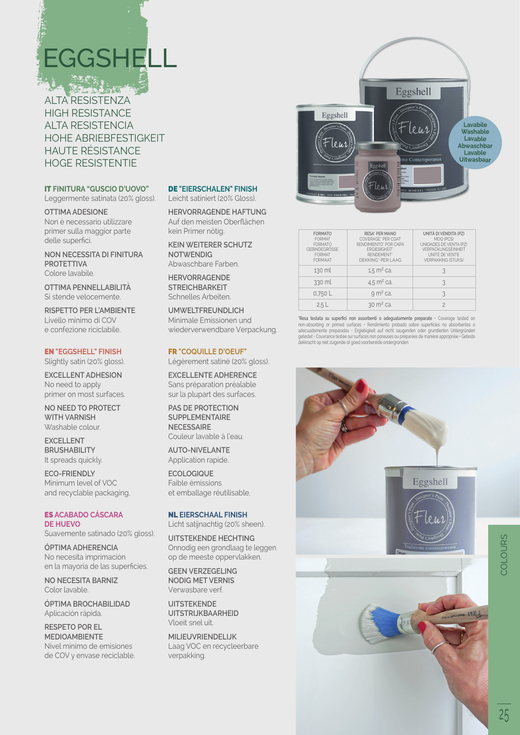# **EGGSHELL**

ALTA RESISTENZA HIGH RESISTANCE ALTA RESISTENCIA HOHE ABRIEBFESTIGKEIT HAUTE RÉSISTANCE HOGE RESISTENTIE

## IT **FINITURA "GUSCIO D'UOVO"**

Leggermente satinata (20% gloss).

#### **OTTIMA ADESIONE** Non è necessario utilizzare primer sulla maggior parte delle superfici.

**NON NECESSITA DI FINITURA PROTETTIVA** Colore lavabile.

**OTTIMA PENNELLABILITÀ** Si stende velocemente.

**RISPETTO PER L'AMBIENTE** Livello minimo di COV e confezione riciclabile.

### EN **"EGGSHELL" FINISH**

Slightly satin (20% gloss).

**EXCELLENT ADHESION** No need to apply primer on most surfaces.

**NO NEED TO PROTECT WITH VARNISH** Washable colour.

**EXCELLENT BRUSHABILITY** It spreads quickly.

**ECO-FRIENDLY** Minimum level of VOC and recyclable packaging.

### ES **ACABADO CÁSCARA DE HUEVO**

Suavemente satinado (20% gloss).

**ÓPTIMA ADHERENCIA** No necesita imprimación en la mayoría de las superficies.

**NO NECESITA BARNIZ** Color lavable.

**ÓPTIMA BROCHABILIDAD** Aplicación rápida.

**RESPETO POR EL MEDIOAMBIENTE** Nivel mínimo de emisiones de COV y envase reciclable.

#### DE **"EIERSCHALEN" FINISH**

Leicht satiniert (20% Gloss).

**HERVORRAGENDE HAFTUNG** Auf den meisten Oberflächen kein Primer nötig.

**KEIN WEITERER SCHUTZ NOTWENDIG**  Abwaschbare Farben.

**HERVORRAGENDE STREICHBARKEIT** Schnelles Arbeiten.

**UMWELTFREUNDLICH** Minimale Emissionen und wiederverwendbare Verpackung.

#### FR **"COQUILLE D'OEUF"**

Légèrement satiné (20% gloss).

**EXCELLENTE ADHERENCE** Sans préparation préalable sur la plupart des surfaces.

**PAS DE PROTECTION SUPPLEMENTAIRE NECESSAIRE** Couleur lavable à l'eau.

**AUTO-NIVELANTE** Application rapide.

**ECOLOGIQUE** Faible émissions et emballage réutilisable.

#### NL **EIERSCHAAL FINISH**

Licht satijnachtig (20% sheen).

**UITSTEKENDE HECHTING** Onnodig een grondlaag te leggen op de meeste oppervlakken.

**GEEN VERZEGELING NODIG MET VERNIS** Verwasbare verf.

**UITSTEKENDE UITSTRIJKBAARHEID** Vloeit snel uit.

**MILIEUVRIENDELIJK** Laag VOC en recycleerbare verpakking.



| <b>FORMATO</b><br><b>FORMAT</b><br><b>FORMATO</b><br>GERINDEGRÖSSE<br><b>FORMAT</b><br><b>FORMAAT</b> | <b>RESA' PER MANO</b><br>COVERAGE* PER COAT<br>RENDIMIENTO' POR CAPA<br><b>FRGIFRIGKFIT</b> *<br>RFNDEMENT*<br>DEKKING' PER I AAG | UNITÀ DI VENDITA (PZ)<br>MOO (PCS)<br>UNIDADES DE VENTA (P7)<br><b>VERPACKUNGSEINHEIT</b><br>UNITÉ DE VENTE<br><b>VERPAKKING (STUKS)</b> |
|-------------------------------------------------------------------------------------------------------|-----------------------------------------------------------------------------------------------------------------------------------|------------------------------------------------------------------------------------------------------------------------------------------|
| 130 ml                                                                                                | $1.5 \text{ m}^2$ ca.                                                                                                             | 3                                                                                                                                        |
| 330 ml                                                                                                | $4.5 \text{ m}^2$ ca.                                                                                                             | २                                                                                                                                        |
| 0.750L                                                                                                | $92$ ca.                                                                                                                          |                                                                                                                                          |
| 2.5L                                                                                                  | $30 \text{ m}^2$ ca.                                                                                                              |                                                                                                                                          |

**\*Resa testata su superfici non assorbenti o adeguatamente preparate** • Coverage tested on non-absorbing or primed surtaces • Hendimiento probado sobre superficies no absorbentes o<br>adecuadamente preparadas • Ergiebigkeit auf nicht saugenden oder grundierten Untergründen<br>getestet • Couvrance testée sur surfaces n



25